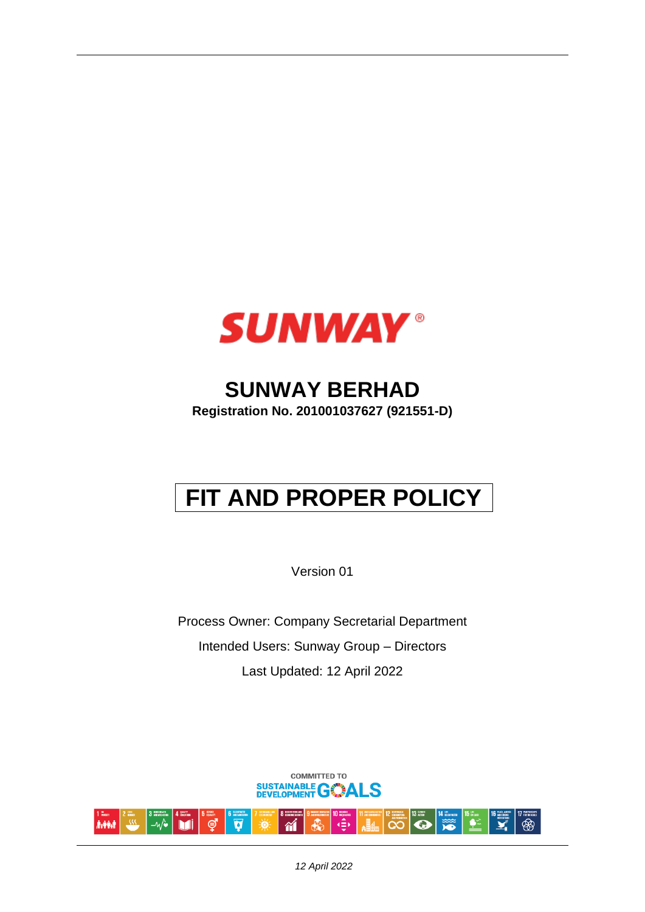

# **SUNWAY BERHAD**

**Registration No. 201001037627 (921551-D)** 

# **FIT AND PROPER POLICY**

Version 01

Process Owner: Company Secretarial Department Intended Users: Sunway Group – Directors Last Updated: 12 April 2022



*12 April 2022*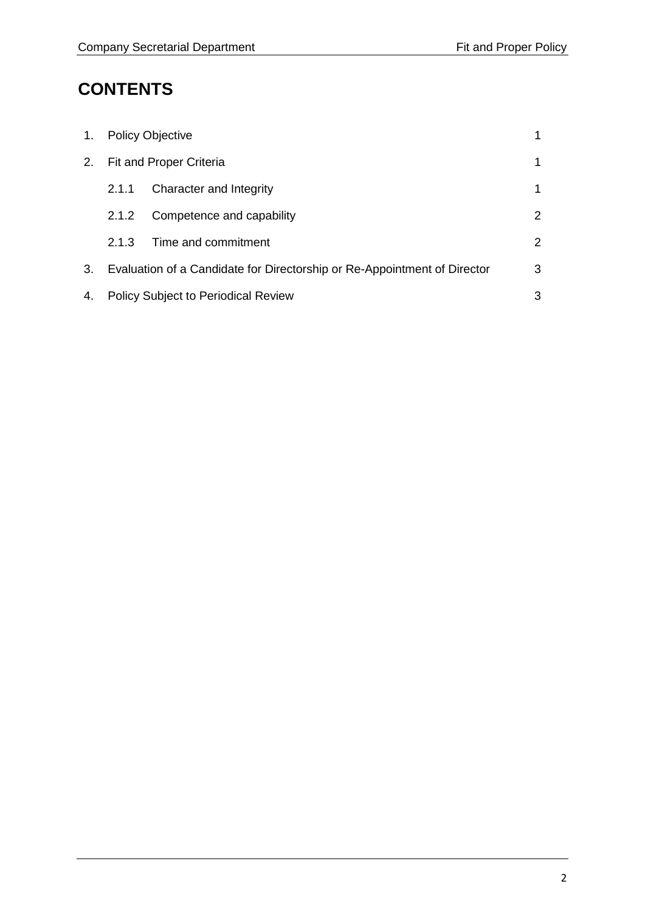# **CONTENTS**

| 1. | <b>Policy Objective</b>                                                  |                           |   |
|----|--------------------------------------------------------------------------|---------------------------|---|
| 2. | Fit and Proper Criteria                                                  |                           | 1 |
|    | 2.1.1                                                                    | Character and Integrity   | 1 |
|    | 2.1.2                                                                    | Competence and capability | 2 |
|    | 2.1.3                                                                    | Time and commitment       | 2 |
| 3. | Evaluation of a Candidate for Directorship or Re-Appointment of Director |                           | 3 |
| 4. | <b>Policy Subject to Periodical Review</b>                               |                           | 3 |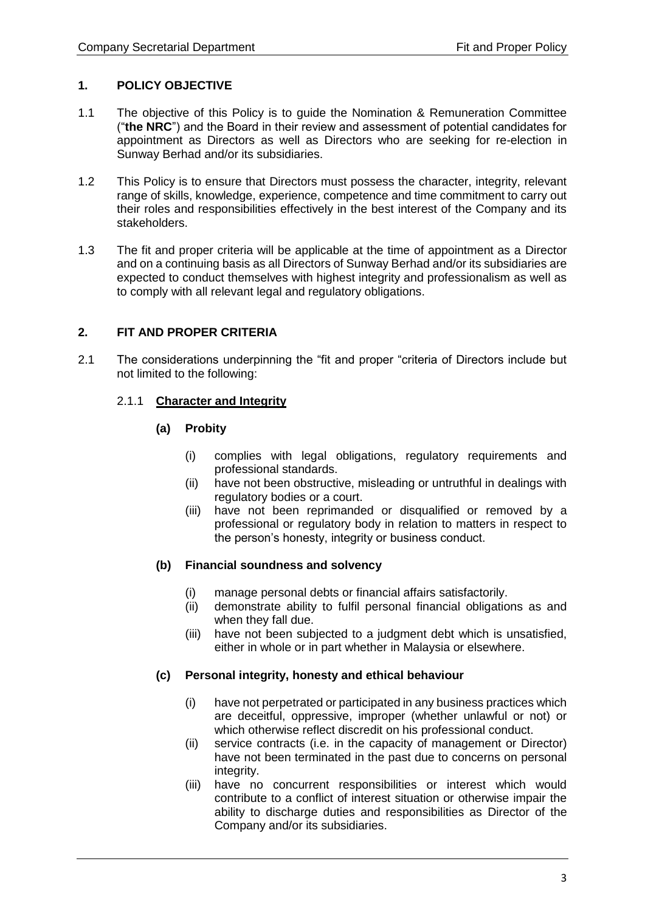## **1. POLICY OBJECTIVE**

- 1.1 The objective of this Policy is to guide the Nomination & Remuneration Committee ("**the NRC**") and the Board in their review and assessment of potential candidates for appointment as Directors as well as Directors who are seeking for re-election in Sunway Berhad and/or its subsidiaries.
- 1.2 This Policy is to ensure that Directors must possess the character, integrity, relevant range of skills, knowledge, experience, competence and time commitment to carry out their roles and responsibilities effectively in the best interest of the Company and its stakeholders.
- 1.3 The fit and proper criteria will be applicable at the time of appointment as a Director and on a continuing basis as all Directors of Sunway Berhad and/or its subsidiaries are expected to conduct themselves with highest integrity and professionalism as well as to comply with all relevant legal and regulatory obligations.

## **2. FIT AND PROPER CRITERIA**

2.1 The considerations underpinning the "fit and proper "criteria of Directors include but not limited to the following:

## 2.1.1 **Character and Integrity**

## **(a) Probity**

- (i) complies with legal obligations, regulatory requirements and professional standards.
- (ii) have not been obstructive, misleading or untruthful in dealings with regulatory bodies or a court.
- (iii) have not been reprimanded or disqualified or removed by a professional or regulatory body in relation to matters in respect to the person's honesty, integrity or business conduct.

#### **(b) Financial soundness and solvency**

- (i) manage personal debts or financial affairs satisfactorily.
- (ii) demonstrate ability to fulfil personal financial obligations as and when they fall due.
- (iii) have not been subjected to a judgment debt which is unsatisfied, either in whole or in part whether in Malaysia or elsewhere.

# **(c) Personal integrity, honesty and ethical behaviour**

- (i) have not perpetrated or participated in any business practices which are deceitful, oppressive, improper (whether unlawful or not) or which otherwise reflect discredit on his professional conduct.
- (ii) service contracts (i.e. in the capacity of management or Director) have not been terminated in the past due to concerns on personal integrity.
- (iii) have no concurrent responsibilities or interest which would contribute to a conflict of interest situation or otherwise impair the ability to discharge duties and responsibilities as Director of the Company and/or its subsidiaries.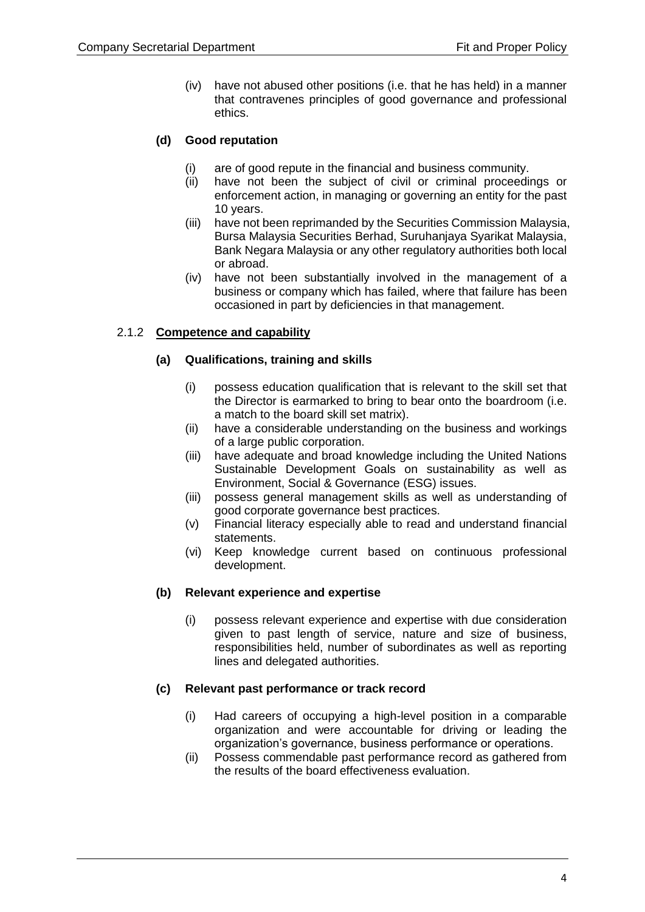(iv) have not abused other positions (i.e. that he has held) in a manner that contravenes principles of good governance and professional ethics.

# **(d) Good reputation**

- (i) are of good repute in the financial and business community.
- (ii) have not been the subject of civil or criminal proceedings or enforcement action, in managing or governing an entity for the past 10 years.
- (iii) have not been reprimanded by the Securities Commission Malaysia, Bursa Malaysia Securities Berhad, Suruhanjaya Syarikat Malaysia, Bank Negara Malaysia or any other regulatory authorities both local or abroad.
- (iv) have not been substantially involved in the management of a business or company which has failed, where that failure has been occasioned in part by deficiencies in that management.

# 2.1.2 **Competence and capability**

## **(a) Qualifications, training and skills**

- (i) possess education qualification that is relevant to the skill set that the Director is earmarked to bring to bear onto the boardroom (i.e. a match to the board skill set matrix).
- (ii) have a considerable understanding on the business and workings of a large public corporation.
- (iii) have adequate and broad knowledge including the United Nations Sustainable Development Goals on sustainability as well as Environment, Social & Governance (ESG) issues.
- (iii) possess general management skills as well as understanding of good corporate governance best practices.
- (v) Financial literacy especially able to read and understand financial statements.
- (vi) Keep knowledge current based on continuous professional development.

# **(b) Relevant experience and expertise**

(i) possess relevant experience and expertise with due consideration given to past length of service, nature and size of business, responsibilities held, number of subordinates as well as reporting lines and delegated authorities.

#### **(c) Relevant past performance or track record**

- (i) Had careers of occupying a high-level position in a comparable organization and were accountable for driving or leading the organization's governance, business performance or operations.
- (ii) Possess commendable past performance record as gathered from the results of the board effectiveness evaluation.